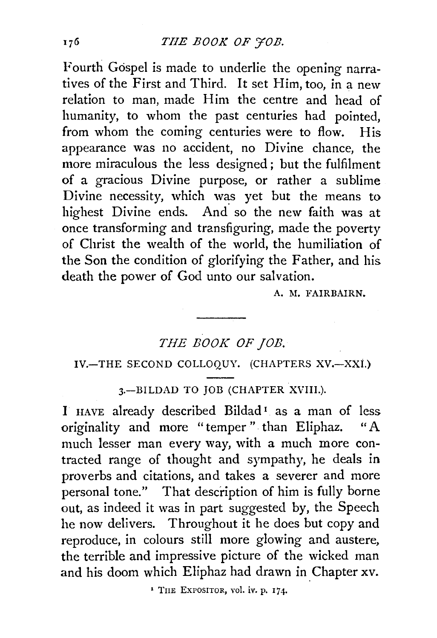Fourth Gospel is made to underlie the opening narratives of the First and Third. It set Him, too, in a new relation to man, made Him the centre and head of humanity, to whom the past centuries had pointed. from whom the coming centuries were to flow. His appearance was no accident, no Divine chance, the more miraculous the less designed; but the fulfilment of a gracious Divine purpose, or rather a sublime Divine necessity, which was yet but the means to highest Divine ends. And so the new faith was at once transforming and transfiguring, made the poverty of Christ the wealth of the world, the humiliation of the Son the condition of glorifying the Father, and his death the power of God unto our salvation.

A. M. FAIRBAIRN.

## *THE BOOK OF JOB.*

### IV.-THE SECOND COLLOQUY. (CHAPTERS XV.-XXI.)

3.-BILDAD TO JOB (CHAPTER XVIII.).

l HAVE already described Bildad 1 as a man of less originality and more "temper ". than Eliphaz. "A much lesser man every way, with a much more contracted range of thought and sympathy, he deals in proverbs and citations, and takes a severer and more personal tone." That description of him is fully borne out, as indeed it was in part suggested by, the Speech he now delivers. Throughout it he does but copy and reproduce, in colours still more glowing and austere, the terrible and impressive picture of the wicked man and his doom which Eliphaz had drawn in Chapter xv.

' TnE EXPOSITOR, vol. iv. p. 174.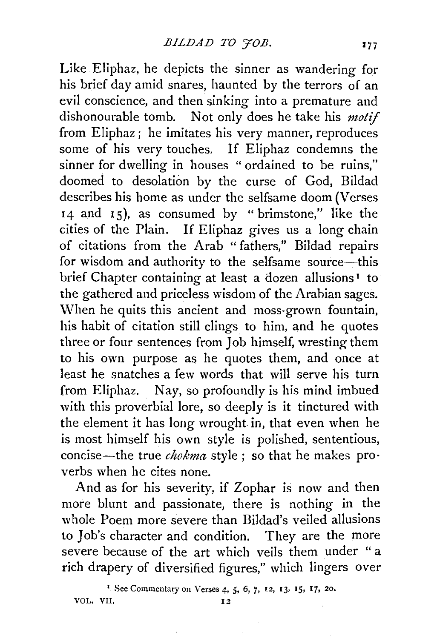Like Eliphaz, he depicts the sinner as wandering for his brief day amid snares, haunted by the terrors of an evil conscience, and then sinking into a premature and dishonourable tomb. Not only does he take his *motif*  from Eliphaz; he imitates his very manner, reproduces some of his very touches. If Eliphaz condemns the sinner for dwelling in houses "ordained to be ruins," doomed to desolation by the curse of God, Bildad describes his home as under the selfsame doom (Verses 14 and 15), as consumed by "brimstone," like the cities of the Plain. If Eliphaz gives us a long chain of citations from the Arab " fathers," Bildad repairs for wisdom and authority to the selfsame source-this brief Chapter containing at least a dozen allusions<sup>1</sup> to the gathered and priceless wisdom of the Arabian sages. When he quits this ancient and moss-grown fountain, his habit of citation still clings to him, and he quotes three or four sentences from Job himself, wresting them to his own purpose as he quotes them, and once at least he snatches a few words that will serve his turn from Eliphaz. Nay, so profoundly is his mind imbued with this proverbial lore, so deeply is it tinctured with the element it has long wrought in, that even when he is most himself his own style is polished, sententious, concise-the true *chokma* style; so that he makes pro· verbs when he cites none.

And as for his severity, if Zophar is now and then more blunt and passionate, there is nothing in the whole Poem more severe than Bildad's veiled allusions to Job's character and condition. They are the more severe because of the art which veils them under " a rich drapery of diversified figures," which lingers over

<sup>1</sup> See Commentary on Verses 4, 5, 6, 7, 12, 13, 15, 17, 20. VOL. VII. 12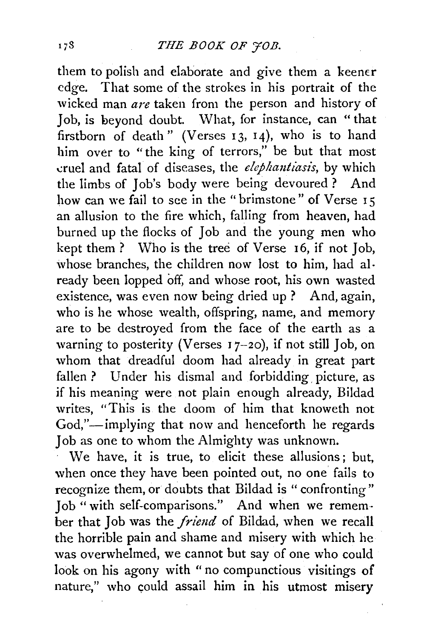them to polish and elaborate and give them a keener edge. That some of the strokes in his portrait of the wicked man *are* taken from the person and history of Job, is beyond doubt. What, for instance, can " that firstborn of death" (Verses  $13, 14$ ), who is to hand him over to "the king of terrors," be but that most cruel and fatal of diseases, the *elephantiasis*, by which the limbs of Job's body were being devoured ? And how can we fail to see in the " brimstone" of Verse 15 an allusion to the fire which, falling from heaven, had burned up the flocks of Job and the young men who kept them ? Who is the tree of Verse 16, if not Job, whose branches, the children now lost to him, had already been lopped off, and whose root, his own wasted existence, was even now being dried up ? And, again, who is he whose wealth, offspring, name, and memory are to be destroyed from the face of the earth as a warning to posterity (Verses  $17-20$ ), if not still Job, on whom that dreadful doom had already in great part fallen ? Under his dismal and forbidding picture, as if his meaning were not plain enough already, Bildad writes, "This is the doom of him that knoweth not God,"-implying that now and henceforth he regards Job as one to whom the Almighty was unknown.

We have, it is true, to elicit these allusions: but, when once they have been pointed out, no one fails to recognize them, or doubts that Bildad is " confronting" Job" with self-comparisons." And when we remem· ber that Job was the *friend* of Bildad, when we recall the horrible pain and shame and misery with which he was overwhelmed, we cannot but say of one who could look on his agony with "no compunctious visitings of nature," who could assail him in his utmost misery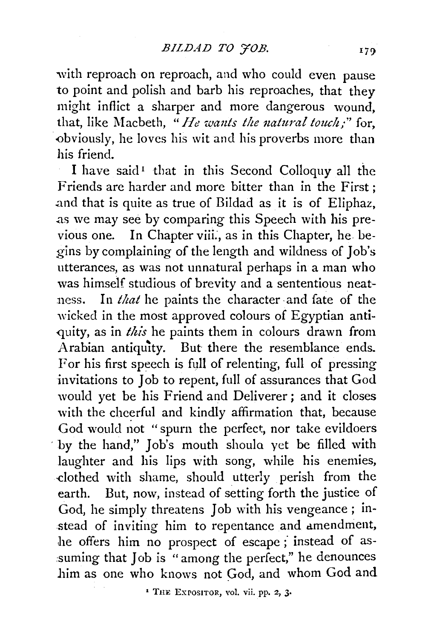with reproach on reproach, and who could even pause to point and polish and barb his reproaches, that they might inflict a sharper and more dangerous wound, that, like Macbeth, "He wants the natural touch;" for, obviously, he loves his wit and his proverbs more than his friend.

I have said<sup>1</sup> that in this Second Colloquy all the Friends are harder and more bitter than in the First ; .and that is quite as true of Bildad as it is of Eliphaz, .as we may see by comparing this Speech with his previous one. In Chapter viii., as in this Chapter, he begins by complaining of the length and wildness of Job's utterances, as was not unnatural perhaps in a man who was himself studious of brevity and a sententious neat ness. In *that* he paints the character and fate of the wicked in the most approved colours of Egyptian antiquity, as in *this* he paints them in colours drawn from Arabian antiquity. But there the resemblance ends. For his first speech is full of relenting, full of pressing -invitations to Job to repent, full of assurances that God would yet be his Friend and Deliverer; and it closes with the cheerful and kindly affirmation that, because God would not " spurn the perfect, nor take evildoers by the hand," Job's mouth should yet be filled with laughter and his lips with song, while his enemies, -clothed with shame, should utterly perish from the earth. But, now, instead of setting forth the justice of God, he simply threatens Job with his vengeance ; instead of inviting him to repentance and amendment, he offers him no prospect of escape; instead of assuming that Job is " among the perfect," he denounces him as one who knows not God, and whom God and

' THE EXPOSITOR, vol. vii. pp. 2, 3•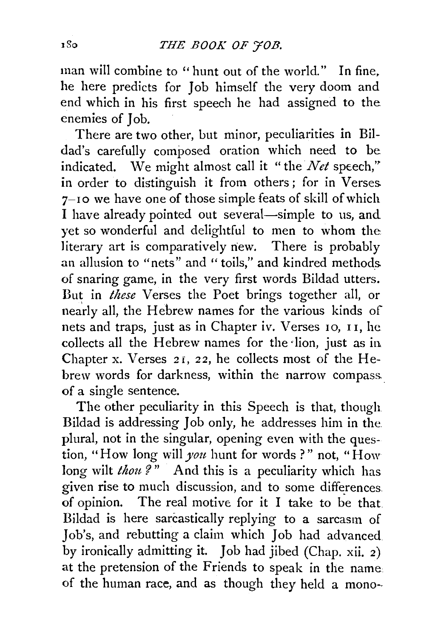man will combine to ''hunt out of the world." In fine. he here predicts for Job himself the very doom and end which in his first speech he had assigned to the enemies of Job.

There are two other, but minor, peculiarities in Bildad's carefully composed oration which need to be indicated. We might almost call it "the  $Net$  speech," in order to distinguish it from others ; for in Verses. 7-Io we have one of those simple feats of skill of which I have already pointed out several-simple to us, and yet so wonderful and delightful to men to whom the literary art is comparatively new. There is probably an allusion to "nets" and " toils," and kindred methods of snaring game, in the very first words Bildad utters. But in *these* Verses the Poet brings together all, or nearly all, the Hebrew names for the various kinds of nets and traps, just as in Chapter iv. Verses IO, I I, he. collects all the Hebrew names for the lion, just as in Chapter x. Verses *2* I, *2 2,* he collects most of the Hebrew words for darkness, within the narrow compass. of a single sentence.

The other peculiarity in this Speech is that, though Bildad is addressing Job only, he addresses him in the plural, not in the singular, opening even with the question, "How long will *you* hunt for words ? " not, "How long wilt *thou?*" And this is a peculiarity which has given rise to much discussion, and to some differences. of opinion. The real motive for it I take to be that Bildad is here sarcastically replying to a sarcasm of Job's, and rebutting a claim which Job had advanced by ironically admitting it. Job had jibed (Chap. xii. 2) at the pretension of the Friends to speak in the name of the human race, and as though they held a mono-.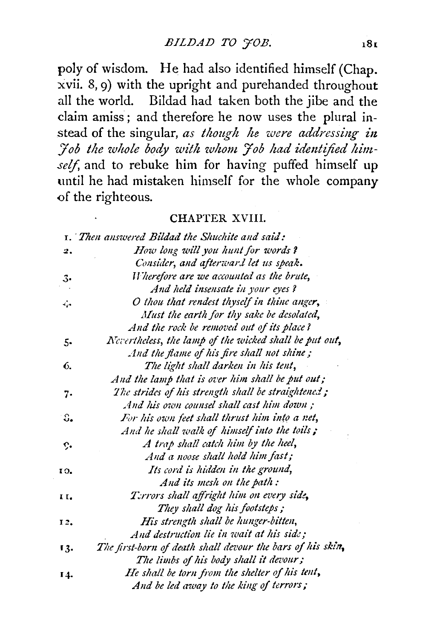poly of wisdom. He had also identified himself (Chap. xvii. 8, 9) with the upright and purehanded throughout all the world. Bildad had taken both the jibe and the claim amiss ; and therefore he now uses the plural instead of the singular, *as though he were addressing in* Fob the whole body with whom Fob had identified himself, and to rebuke him for having puffed himself up until he had mistaken himself for the whole company of the righteous.

#### CHAPTER XVIII.

|                        | <b>1.</b> Then answered Bildad the Shuchite and said:      |
|------------------------|------------------------------------------------------------|
| 2.                     | How long will you hunt for words?                          |
|                        | Consider, and afterward let us speak.                      |
| 3.                     | Wherefore are we accounted as the brute,                   |
|                        | And held insensate in your eyes?                           |
| Ζ,                     | O thou that rendest thyself in thine anger,                |
|                        | Must the earth for thy sake be desolated,                  |
|                        | And the rock be removed out of its place?                  |
| 5.                     | Nevertheless, the lamp of the wicked shall be put out,     |
|                        | And the flame of his fire shall not shine;                 |
| 6.                     | The light shall darken in his tent,                        |
|                        | And the lamp that is over him shall be put out;            |
| 7.                     | The strides of his strength shall be straightened;         |
|                        | And his own counsel shall cast him down :                  |
| $\mathbb{S}_{\bullet}$ | For his own feet shall thrust him into a net,              |
|                        | And he shall walk of himself into the toils;               |
| ç.                     | A trap shall catch him by the heel,                        |
|                        | And a noose shall hold him fast;                           |
| 10.                    | Its cord is hidden in the ground,                          |
|                        | And its mesh on the path:                                  |
| н.                     | Terrors shall affright him on every side,                  |
|                        | They shall dog his footsteps;                              |
| 12.                    | His strength shall be hunger-bitten,                       |
|                        | And destruction lie in wait at his side;                   |
| 13.                    | The first-born of death shall devour the bars of his skin, |
|                        | The limbs of his body shall it devour;                     |
| 14.                    | He shall be torn from the shelter of his tent,             |
|                        | And be led away to the king of terrors;                    |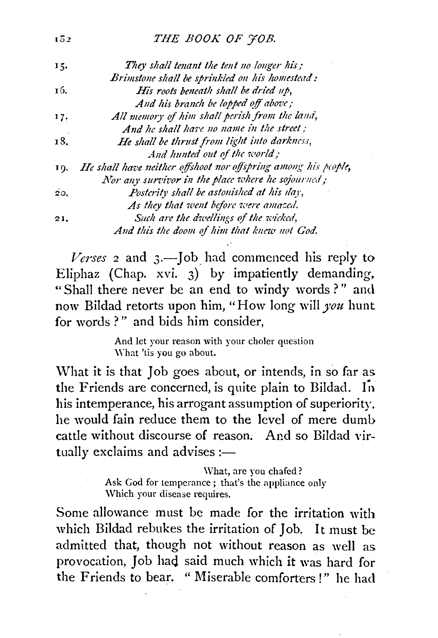## THE BOOK OF 70B.

 $1\overline{0}2$ 

| 15. | They shall tenant the tent no longer his;                      |
|-----|----------------------------------------------------------------|
|     | Brimstone shall be sprinkled on his homestead:                 |
| 16. | His roots beneath shall be dried up,                           |
|     | And his branch be lopped off above;                            |
| 17. | All memory of him shall perish from the land,                  |
|     | And he shall have no name in the street;                       |
| 18. | He shall be thrust from light into darkness,                   |
|     | And hunted out of the world;                                   |
| 19. | He shall have neither offshoot nor offspring among his people, |
|     | Nor any survivor in the place where he sojourned;              |
| 20. | Posterity shall be astonished at his day,                      |
|     | As they that went before were amazed.                          |
| 21. | Such are the dwellings of the wicked,                          |
|     | And this the doom of him that knew not God.                    |

Verses 2 and 3.-Job had commenced his reply to Eliphaz (Chap. *xvi.* 3) by impatiently demanding. "Shall there never be an end to windy words?" and now Bildad retorts upon him, "How long will *you* hunt for words?" and bids him consider.

> And let your reason with your choler question \Yhat 'tis you go about.

\Vhat it is that Job goes about, or intends, in so far as the Friends are concerned, is quite plain to Bildad. In his intemperance, his arrogant assumption of superiority. he would fain reduce them to the level of mere dumb cattle without discourse of reason. And so Bildad virtually exclaims and advises : $-$ 

> What, are you chafed? Ask God for temperance; that's the appliance only Which your disease requires.

Some allowance must be made for the irritation with which Bildad rebukes the irritation of Job. It must be admitted that, though not without reason as well as provocation, Job had said much which it was hard for the Friends to bear. " Miserable comforters!" he had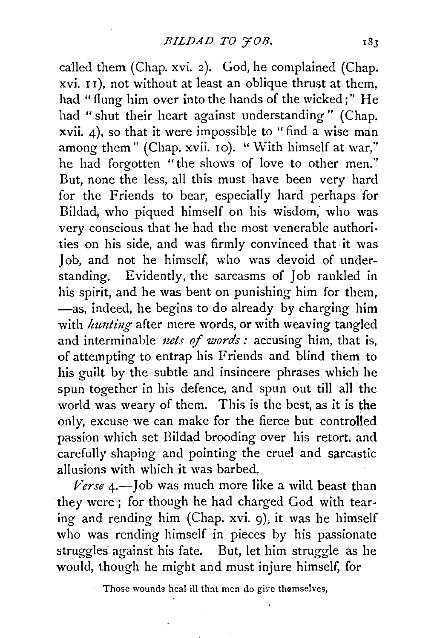called them (Chap. xvi. 2). God, he complained (Chap. xvi. 1 1 ), not without at least an oblique thrust at them, had "flung him over into the hands of the wicked;" He had "shut their heart against understanding" (Chap. xvii. 4), so that it were impossible to "find a wise man among them" (Chap. xvii. 10). "With himself at war," he had forgotten "the shows of love to other men." But, none the less, all this must have been very hard for the Friends to bear, especially hard perhaps for Bildad, who piqued himself on his wisdom, who was very conscious that he had the most venerable authorities on his side, and was firmly convinced that, it was Job, and not he himself, who was devoid of understanding. Evidently, the sarcasms of Job rankled in his spirit, and he was bent on punishing him for them, -as, indeed, he begins to do already by charging him with *hunting* after mere words, or with weaving tangled and interminable *nets of words*: accusing him, that is, of attempting to entrap his Friends and blind them to his guilt by the subtle and insincere phrases which he spun together in his defence, and spun out till all the world was weary of them. This is the best, as it is the only, excuse we can make for the fierce but controlled passion which set Bildad brooding over his retort, and carefully shaping and pointing the cruel and sarcastic allusions with which it was barbed,

*Verse 4.-]ob* was much more like a wild beast than they were ; for though he had charged God with tearing and rending him (Chap. xvi. g), it was he himself who was rending himself in pieces by his passionate struggles against his fate. But, let him struggle as he would, though he might and must injure himself, for

Those woundg heal ill that men do give themselves,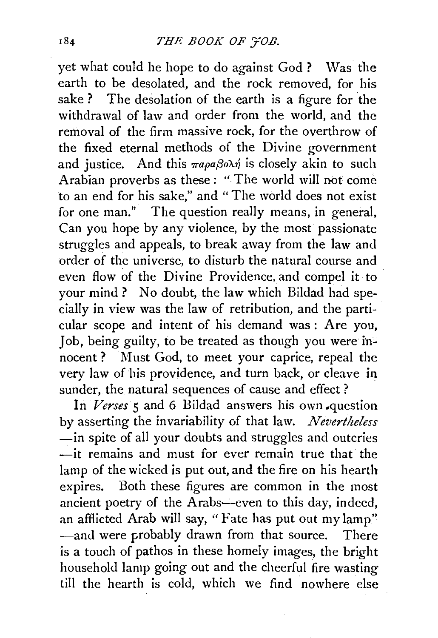yet what could he hope to do against God? Was the earth to be desolated, and the rock removed, for his sake ? The desolation of the earth is a figure for the withdrawal of law and order from the world, and the removal of the firm massive rock, for the overthrow of the fixed eternal methods of the Divine government and justice. And this  $\pi a \rho a \beta o \lambda \dot{\eta}$  is closely akin to such Arabian proverbs as these : "The world will not come to an end for his sake," and " The world does not exist for one man." The question really means, in general, Can you hope by any violence, by the most passionate struggles and appeals, to break away from the law and order of the universe, to disturb the natural course and even flow of the Divine Providence, and compel it to your mind? No doubt, the law which Bildad had specially in view was the law of retribution, and the particular scope and intent of his demand was : Are you, Job, being guilty, to be treated as though you were innocent ? Must God, to meet your caprice, repeal the very law of his providence, and turn back, or cleave in sunder, the natural sequences of cause and effect ?

In *Verses* 5 and 6 Bildad answers his own -question by asserting the invariability of that law. *Nevertheless*  -in spite of all your doubts and struggles and outcries -it remains and must for ever remain true that the lamp of the wicked is put out, and the fire on his hearth expires. Both these figures are common in the most ancient poetry of the Arabs—even to this day, indeed, an afflicted Arab will say, "Fate has put out my lamp" -and were probably drawn from that source. There is a touch of pathos in these homeiy images, the bright household lamp going out and the cheerful fire wasting till the hearth is cold, which we find nowhere else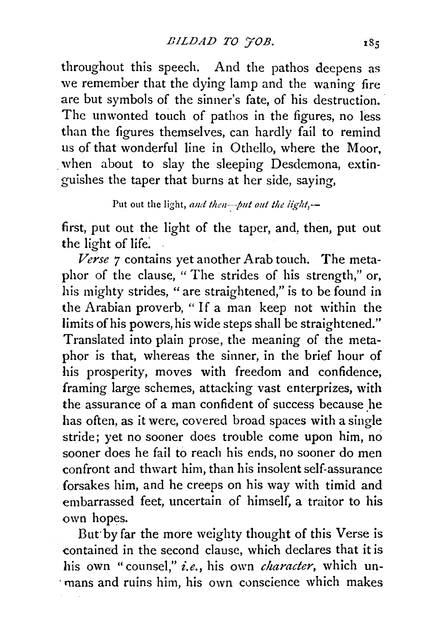throughout this speech. And the pathos deepens as we remember that the dying lamp and the waning fire are but symbols of the sinner's fate, of his destruction. The unwonted touch of pathos in the figures, no less than the figures themselves, can hardly fail to remind us of that wonderful line in Othello, where the Moor, when about to slay the sleeping Desdemona, extinguishes the taper that burns at her side, saying,

Put out the light, and then--put out the iight,--

first, put out the light of the taper, and, then, put out the light of life:

*Verse 7* contains yet another Arab touch. The metaphor of the clause, " The strides of his strength," or, his mighty strides, "are straightened," is to be found in the Arabian proverb, " If a man keep not within the limits of his powers, his wide steps shall be straightened." Translated into plain prose, the meaning of the metaphor is that, whereas the sinner, in the brief hour of his prosperity, moves with freedom and confidence; framing large schemes, attacking vast enterprizes, with the assurance of a man confident of success because he has often, as it were, covered broad spaces with a single stride; yet no sooner does trouble come upon him, no sooner does he fail to reach his ends, no sooner do men confront and thwart him, than his insolent self-assurance forsakes him, and he creeps on his way with timid and embarrassed feet, uncertain of himself, a traitor to his own hopes.

But·byfar the more weighty thought of this Verse is contained in the second clause, which declares that it is his own "counsel," *i.e.,* his own *character,* which un- . mans and ruins him, his own conscience which makes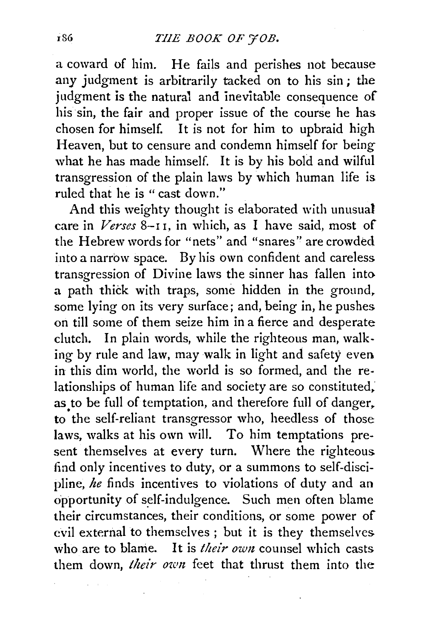a coward of him. He fails and perishes not because any judgment is arbitrarily tacked on to his sin; the judgment is the natural and inevitable consequence of his sin, the fair and proper issue of the course he has chosen for himself. It is not for him to upbraid high Heaven, but to censure and condemn himself for being what he has made himself. It is by his bold and wilful transgression of the plain laws by which human life is ruled that he is " cast down."

And this weighty thought is elaborated with unusual care in *Verses* 8-1 I, in which, as I have said, most of the Hebrew words for "nets" and "snares" are crowded into a narrow space. By his own confident and careless transgression of Divine laws the sinner has fallen into a path thick with traps, some hidden in the ground, some lying on its very surface; and, being in, he pushes on till some of them seize him in a fierce and desperate clutch. In plain words, while the righteous man, walking by rule and law, may walk in light and safety even in this dim world, the world is so formed, and the relationships of human life and society are so constituted, as to be full of temptation, and therefore full of danger, to the self-reliant transgressor who, heedless of those laws, walks at his own will. To him temptations present themselves at every turn. Where the righteous find only incentives to duty, or a summons to self-discipline, *he* finds incentives to violations of duty and an opportunity of self-indulgence. Such men often blame their circumstances, their conditions, or some power of evil external to themselves ; but it is they themselves who are to blame. It is *their own* counsel which casts them down, *their own* feet that thrust them into the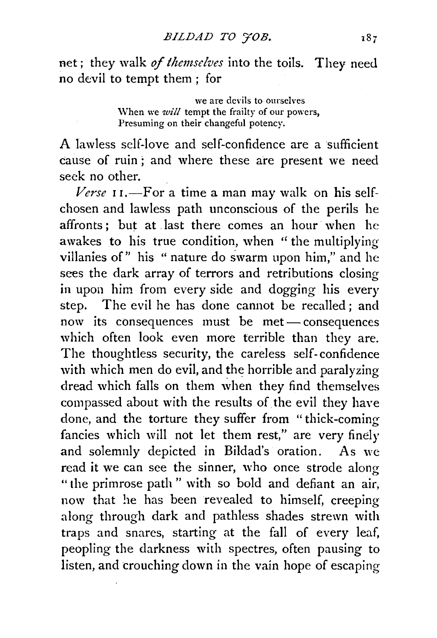net; they walk *of themselves* into the toils. They need no devil to tempt them ; for

> we are devils to ourselves When we *will* tempt the frailty of our powers, Presuming on their changeful potency.

A lawless self-love and self-confidence are a sufficient cause of ruin ; and where these are present we need seck no other.

Verse 11.-For a time a man may walk on his selfchosen and lawless path unconscious of the perils he affronts: but at last there comes an hour when he awakes to his true condition, when "the multiplying villanies of" his " nature do swarm upon him," and he sees the dark array of terrors and retributions closing in upon him from every side and dogging his every step. The evil he has done cannot be recalled ; and now its consequences must be met- consequences which often look even more terrible than they are. The thoughtless security, the careless self- confidence with which men do evil, and the horrible and paralyzing dread which falls on them when they find themselves compassed about with the results of the evil they have done, and the torture they suffer from "thick-coming fancies which will not let them rest," are very finely and solemnly depicted in Bildad's oration. As we read it we can see the sinner, who once strode along "the primrose path " with so bold and defiant an air, now that he has been revealed to himself, creeping along through dark and pathless shades strewn with traps and snares, starting at the fall of every leaf, peopling the darkness with spectres, often pausing to listen, and crouching down in the vain hope of escaping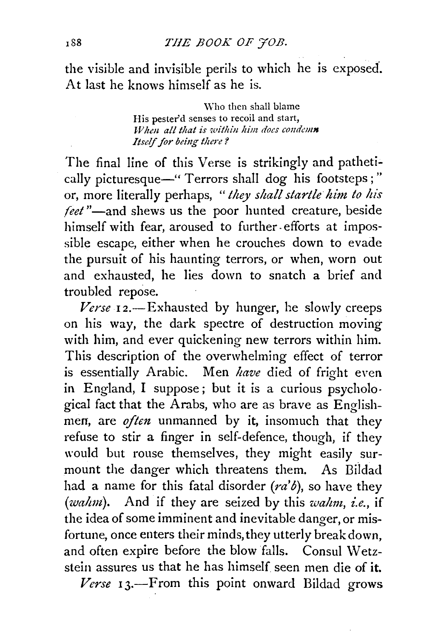the visible and invisible perils to which he is exposed. At last he knows himself as he is.

> \Vho then shall blame His pester'd senses to recoil and start, *When all that is within him does condemn Itself for being there?*

The final line of this Verse is strikingly and pathetically picturesque-" Terrors shall dog his footsteps;" or, more literally perhaps, *"they shall startle him to his*  feet"-and shews us the poor hunted creature, beside himself with fear, aroused to further. efforts at impossible escape, either when he crouches down to evade the pursuit of his haunting terrors, or when, worn out and exhausted, he lies down to snatch a brief and troubled repose.

*Verse* 12.-Exhausted by hunger, he slowly creeps on his way, the dark spectre of destruction moving with him, and ever quickening new terrors within him. This description of the overwhelming effect of terror is essentially Arabic. Men *have* died of fright even in England, I suppose ; but it is a curious psycholo· gical fact that the Arabs, who are as brave as Englishmen, are *often* unmanned by it, insomuch that they refuse to stir a finger in self-defence, though, if they would but rouse themselves, they might easily surmount the danger which threatens them. As Bildad had a name for this fatal disorder *(ra'b),* so have they *(walmt).* And if they are seized by this *wahm, i.e.,* if the idea of some imminent and inevitable danger, or misfortune, once enters their minds, they utterly break down, and often expire before the blow falls. Consul Wetzstein assures us that he has himself seen men die of it.

*Verse* 13.-From this point onward Bildad grows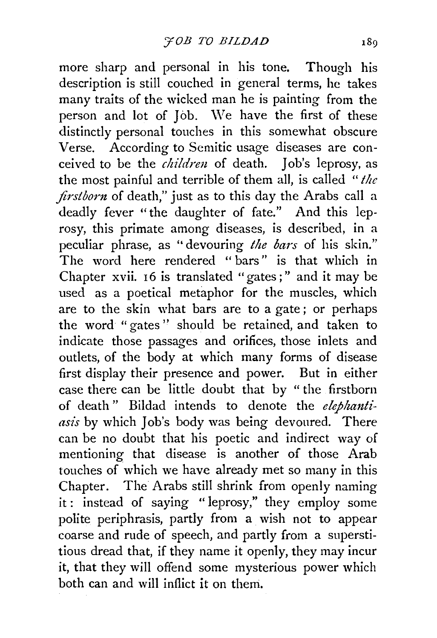more sharp and personal in his tone. Though his description is still couched in general terms, he takes many traits of the wicked man he is painting from the person and lot of Job. We have the first of these distinctly personal touches in this somewhat obscure Verse. According to Semitic usage diseases are conceived to be the *children* of death. Job's leprosy, as the most painful and terrible of them all, is called *"the jirstborn* of death," just as to this day the Arabs call a deadly fever "the daughter of fate." And this leprosy, this primate among diseases, is described, in a peculiar phrase, as "devouring *the bars* of his skin." The word here rendered "bars" is that which in Chapter xvii. 16 is translated "gates;" and it may be used as a poetical metaphor for the muscles, which are to the skin what bars are to a gate ; or perhaps the word " gates " should be retained, and taken to indicate those passages and orifices, those inlets and outlets, of the body at which many forms of disease first display their presence and power. But in either case there can be little doubt that by "the firstborn of death" Bildad intends to denote the *elephantiasis* by which Job's body was being devoured. There can be no doubt that his poetic and indirect way of mentioning that disease is another of those Arab touches of which we have already met so many in this Chapter. The Arabs still shrink from openly naming it : instead of saying " leprosy," they employ some polite periphrasis, partly from a wish not to appear coarse and rude of speech, and partly from a superstitious dread that, if they name it openly, they may incur it, that they will offend some mysterious power which both can and will inflict it on theni.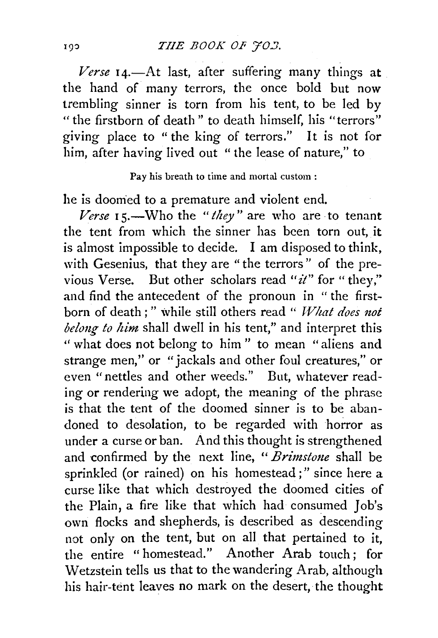Verse 14.-At last, after suffering many things at the hand of many terrors, the once bold but now trembling sinner is torn from his tent, to be led by " the firstborn of death" to death himself, his "terrors" giving place to " the king of terrors." It is not for him, after having lived out "the lease of nature," to

Pay his breath to time and mortal custom:

he is doomed to a premature and violent end.

*Verse* 15.—Who the *"they*" are who are to tenant the tent from which the sinner has been torn out, it is almost impossible to decide. I am disposed to think, with Gesenius, that they are "the terrors" of the previous Verse. But other scholars read " $\dot{u}$ " for "they," and find the antecedent of the pronoun in " the firstborn of death;" while still others read " *What does not belong to him* shall dwell in his tent," and interpret this " what does not belong to him" to mean "aliens and strange men,'' or "jackals and other foul creatures," or even "nettles and other weeds." But, whatever reading or rendering we adopt, the meaning of the phrase is that the tent of the doomed sinner is to be abandoned to desolation, to be regarded with horror as under a curse or ban. And this thought is strengthened and confirmed by the next line, "*Brimstone* shall be sprinkled (or rained) on his homestead;" since here a curse like that which destroyed the doomed cities of the Plain, a fire like that which had consumed Job's own flocks and shepherds, is described as descending not only on the tent, but on all that pertained to it, the entire "homestead." Another Arab touch; for Wetzstein tells us that to the wandering Arab, although his hair-tent leaves no mark on the desert, the thought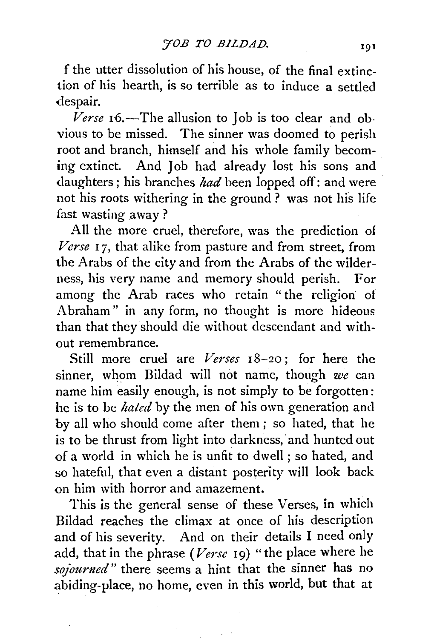f the utter dissolution of his house, of the final extinction of his hearth, is so terrible as to induce a settled despair.

Verse 16.-The allusion to Job is too clear and obvious to be missed. The sinner was doomed to perish root and branch, himself and his whole family becoming extinct. And Job had already lost his sons and daughters ; his branches *had* been lopped off: and were not his roots withering in the ground ? was not his life fast wasting away?

All the more cruel, therefore, was the prediction of *Verse* I 7, that alike from pasture and from street, from the Arabs of the city and from the Arabs of the wilderness, his very name and memory should perish. For among the Arab races who retain "the religion ot Abraham" in any form, no thought is more hideous than that they should die without descendant and without remembrance.

Still more cruel are *Verses* 18-20; for here the sinner, whom Bildad will not name, though *u•e* can name him easily enough, is not simply to be forgotten: he is to be *hated* by the men of his own generation and by all who should come after them ; so hated, that he is to be thrust from light into darkness, and hunted out of a world in which he is unfit to dwell ; so hated, and so hateful, that even a distant posterity will look back on him with horror and amazement.

This is the general sense of these Verses, in which Bildad reaches the climax at once of his description and of his severity. And on their details I need only add, that in the phrase *(Verse* I9) "the place where he *sojourned"* there seems a hint that the sinner has no abiding-place, no home, even in this world, but that at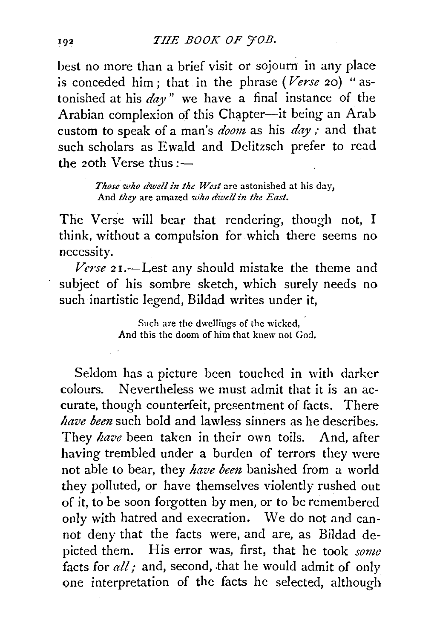best no more than a brief visit or sojourn in any place is conceded him; that in the phrase *(Verse* 20) "astonished at his *day"* we have a final instance of the Arabian complexion of this Chapter--it being an Arab custom to speak of a man's *doom* as his *day*; and that such scholars as Ewald and Delitzsch prefer to read the 20th Verse thus: $-$ 

> *Those who dwell in the West* are astonished at his day, And *they* are amazed who dwell in the East.

The Verse will bear that rendering, though not, I think, without a compulsion for which there seems no necessity.

*Verse* 21.-Lest any should mistake the theme and subject of his sombre sketch, which surely needs no such inartistic legend, Bildad writes under it,

> Such are the dwellings of the wicked, And this the doom of him that knew not God,

Seldom has a picture been touched in with darker colours. Nevertheless we must admit that it is an accurate, though counterfeit, presentment of facts. There *have been* such bold and lawless sinners as he describes. They *have* been taken in their own toils. And, after having trembled under a burden of terrors they were not able to bear, they *have been* banished from a world they polluted, or have themselves violently rushed out of it, to be soon forgotten by men, or to be remembered only with hatred and execration. We do not and cannot deny that the facts were, and are, as Bildad depicted them. His error was, first, that he took *some*  facts for *all*; and, second, that he would admit of only one interpretation of the facts he selected, although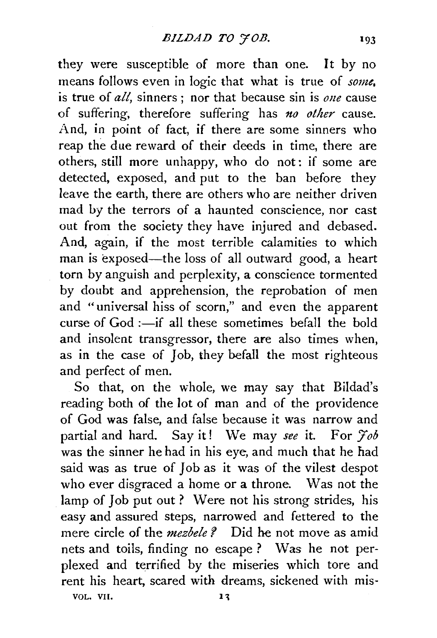they were susceptible of more than one. It by no means follows even in logic that what is true of *some,*  is true of *all,* sinners ; nor that because sin is *one* cause of suffering, therefore suffering has *no other* cause. And, in point of fact, if there are some sinners who reap the due reward of their deeds in time, there are others, still more unhappy, who do not: if some are detected, exposed, and put to the ban before they leave the earth, there are others who are neither driven mad by the terrors of a haunted conscience, nor cast out from the society they have injured and debased. And, again, if the most terrible calamities to which man is exposed-the loss of all outward good, a heart torn by anguish and perplexity, a conscience tormented by doubt and apprehension, the reprobation of men and "universal hiss of scorn," and even the apparent curse of  $God :=if$  all these sometimes befall the bold and insolent transgressor, there are also times when, as in the case of Job, they befall the most righteous and perfect of men.

So that, on the whole, we may say that Bildad's reading both of the lot of man and of the providence of God was false, and false because it was narrow and partial and hard. Say it! We may *see* it. For *Yob*  was the sinner he had in his eye, and much that he had said was as true of Job as it was of the vilest despot who ever disgraced a home or a throne. Was not the lamp of Job put out ? Were not his strong strides, his easy and assured steps, narrowed and fettered to the mere circle of the *mezbele ?* Did he not move as amid nets and toils, finding no escape ? Was he not perplexed and terrified by the miseries which tore and rent his heart, scared with dreams, sickened with mis-VOL. VII.  $13$